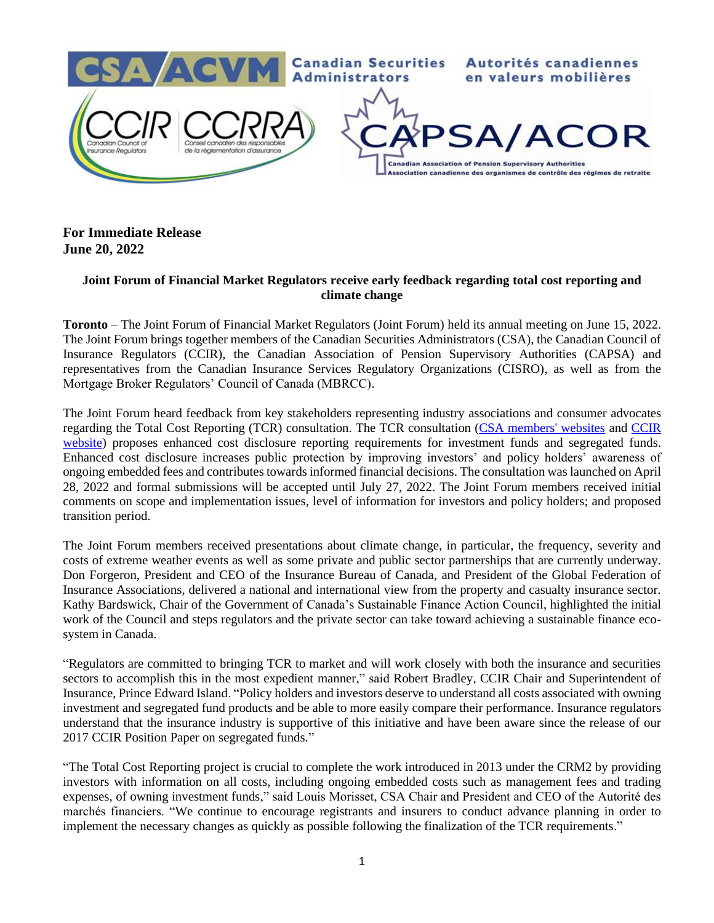

## **For Immediate Release June 20, 2022**

## **Joint Forum of Financial Market Regulators receive early feedback regarding total cost reporting and climate change**

**Toronto** – The Joint Forum of Financial Market Regulators (Joint Forum) held its annual meeting on June 15, 2022. The Joint Forum brings together members of the Canadian Securities Administrators (CSA), the Canadian Council of Insurance Regulators (CCIR), the Canadian Association of Pension Supervisory Authorities (CAPSA) and representatives from the Canadian Insurance Services Regulatory Organizations (CISRO), as well as from the Mortgage Broker Regulators' Council of Canada (MBRCC).

The Joint Forum heard feedback from key stakeholders representing industry associations and consumer advocates regarding the Total Cost Reporting (TCR) consultation. The TCR consultation [\(CSA members' websites](https://www.securities-administrators.ca/resources/access-rules-policies/) and [CCIR](https://www.ccir-ccrra.org/)  [website\)](https://www.ccir-ccrra.org/) proposes enhanced cost disclosure reporting requirements for investment funds and segregated funds. Enhanced cost disclosure increases public protection by improving investors' and policy holders' awareness of ongoing embedded fees and contributes towards informed financial decisions. The consultation was launched on April 28, 2022 and formal submissions will be accepted until July 27, 2022. The Joint Forum members received initial comments on scope and implementation issues, level of information for investors and policy holders; and proposed transition period.

The Joint Forum members received presentations about climate change, in particular, the frequency, severity and costs of extreme weather events as well as some private and public sector partnerships that are currently underway. Don Forgeron, President and CEO of the Insurance Bureau of Canada, and President of the Global Federation of Insurance Associations, delivered a national and international view from the property and casualty insurance sector. Kathy Bardswick, Chair of the Government of Canada's Sustainable Finance Action Council, highlighted the initial work of the Council and steps regulators and the private sector can take toward achieving a sustainable finance ecosystem in Canada.

"Regulators are committed to bringing TCR to market and will work closely with both the insurance and securities sectors to accomplish this in the most expedient manner," said Robert Bradley, CCIR Chair and Superintendent of Insurance, Prince Edward Island. "Policy holders and investors deserve to understand all costs associated with owning investment and segregated fund products and be able to more easily compare their performance. Insurance regulators understand that the insurance industry is supportive of this initiative and have been aware since the release of our 2017 CCIR Position Paper on segregated funds."

"The Total Cost Reporting project is crucial to complete the work introduced in 2013 under the CRM2 by providing investors with information on all costs, including ongoing embedded costs such as management fees and trading expenses, of owning investment funds," said Louis Morisset, CSA Chair and President and CEO of the Autorité des marchés financiers. "We continue to encourage registrants and insurers to conduct advance planning in order to implement the necessary changes as quickly as possible following the finalization of the TCR requirements."